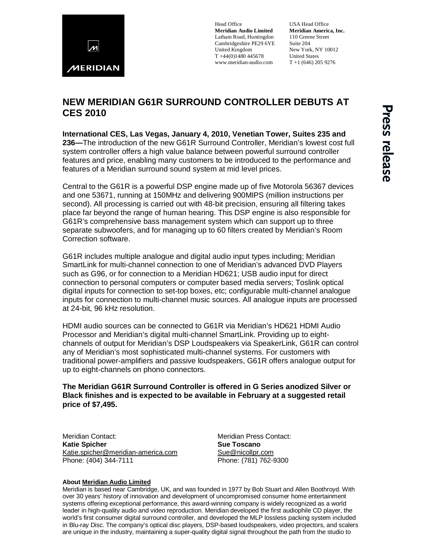

Head Office **Meridian Audio Limited** Latham Road, Huntingdon Cambridgeshire PE29 6YE United Kingdom T +44(0)1480 445678 www.meridian-audio.com

USA Head Office **Meridian America, Inc.** 110 Greene Street Suite 204 New York, NY 10012 United States  $T + 1$  (646) 205 9276

## **NEW MERIDIAN G61R SURROUND CONTROLLER DEBUTS AT CES 2010**

**International CES, Las Vegas, January 4, 2010, Venetian Tower, Suites 235 and 236—**The introduction of the new G61R Surround Controller, Meridian's lowest cost full system controller offers a high value balance between powerful surround controller features and price, enabling many customers to be introduced to the performance and features of a Meridian surround sound system at mid level prices.

Central to the G61R is a powerful DSP engine made up of five Motorola 56367 devices and one 53671, running at 150MHz and delivering 900MIPS (million instructions per second). All processing is carried out with 48-bit precision, ensuring all filtering takes place far beyond the range of human hearing. This DSP engine is also responsible for G61R's comprehensive bass management system which can support up to three separate subwoofers, and for managing up to 60 filters created by Meridian's Room Correction software.

G61R includes multiple analogue and digital audio input types including; Meridian SmartLink for multi-channel connection to one of Meridian's advanced DVD Players such as G96, or for connection to a Meridian HD621; USB audio input for direct connection to personal computers or computer based media servers; Toslink optical digital inputs for connection to set-top boxes, etc; configurable multi-channel analogue inputs for connection to multi-channel music sources. All analogue inputs are processed at 24-bit, 96 kHz resolution.

HDMI audio sources can be connected to G61R via Meridian's HD621 HDMI Audio Processor and Meridian's digital multi-channel SmartLink. Providing up to eightchannels of output for Meridian's DSP Loudspeakers via SpeakerLink, G61R can control any of Meridian's most sophisticated multi-channel systems. For customers with traditional power-amplifiers and passive loudspeakers, G61R offers analogue output for up to eight-channels on phono connectors.

## **The Meridian G61R Surround Controller is offered in G Series anodized Silver or Black finishes and is expected to be available in February at a suggested retail price of \$7,495.**

Meridian Contact: Meridian Press Contact:<br> **Katie Spicher** Matter **Katie Supplement Contact: Katie Spicher** [Katie.spicher@meridian-america.com](mailto:Katie.spicher@meridian-america.com) [Sue@nicollpr.com](mailto:Sue@nicollpr.com) Phone: (404) 344-7111 Phone: (781) 762-9300

## **About [Meridian Audio Limited](http://www.meridian-audio.com/)**

Meridian is based near Cambridge, UK, and was founded in 1977 by Bob Stuart and Allen Boothroyd. With over 30 years' history of innovation and development of uncompromised consumer home entertainment systems offering exceptional performance, this award-winning company is widely recognized as a world leader in high-quality audio and video reproduction. Meridian developed the first audiophile CD player, the world's first consumer digital surround controller, and developed the MLP lossless packing system included in Blu-ray Disc. The company's optical disc players, DSP-based loudspeakers, video projectors, and scalers are unique in the industry, maintaining a super-quality digital signal throughout the path from the studio to